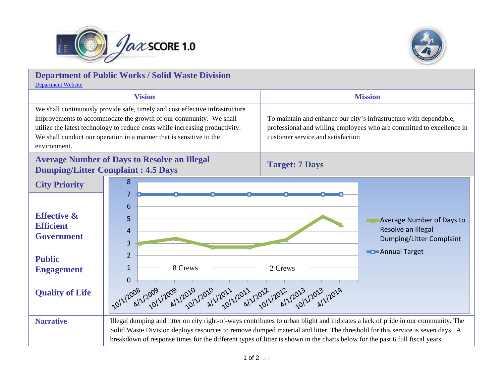



| <b>Department of Public Works / Solid Waste Division</b><br><b>Department Website</b>                                                                                                                                                                                                                                    |                                                                                                                                                                                                                                                                                          |                                                                                                                                                                                  |
|--------------------------------------------------------------------------------------------------------------------------------------------------------------------------------------------------------------------------------------------------------------------------------------------------------------------------|------------------------------------------------------------------------------------------------------------------------------------------------------------------------------------------------------------------------------------------------------------------------------------------|----------------------------------------------------------------------------------------------------------------------------------------------------------------------------------|
|                                                                                                                                                                                                                                                                                                                          | <b>Vision</b>                                                                                                                                                                                                                                                                            | <b>Mission</b>                                                                                                                                                                   |
| We shall continuously provide safe, timely and cost effective infrastructure<br>improvements to accommodate the growth of our community. We shall<br>utilize the latest technology to reduce costs while increasing productivity.<br>We shall conduct our operation in a manner that is sensitive to the<br>environment. |                                                                                                                                                                                                                                                                                          | To maintain and enhance our city's infrastructure with dependable,<br>professional and willing employees who are committed to excellence in<br>customer service and satisfaction |
| <b>Average Number of Days to Resolve an Illegal</b><br><b>Dumping/Litter Complaint: 4.5 Days</b>                                                                                                                                                                                                                         |                                                                                                                                                                                                                                                                                          | <b>Target: 7 Days</b>                                                                                                                                                            |
| <b>City Priority</b>                                                                                                                                                                                                                                                                                                     | 8                                                                                                                                                                                                                                                                                        |                                                                                                                                                                                  |
| <b>Effective &amp;</b><br><b>Efficient</b><br><b>Government</b><br><b>Public</b><br><b>Engagement</b><br><b>Quality of Life</b>                                                                                                                                                                                          | 7<br>6<br>5<br>Average Number of Days to<br>Resolve an Illegal<br>4<br>Dumping/Litter Complaint<br>3<br><b>Example 2</b> Annual Target<br>$\overline{2}$<br>$\mathbf{1}$<br>8 Crews<br>2 Crews<br>$\mathbf 0$<br>10/1/2008 12/2009 12019 12010 12010 12011 12012 12012 12012 12013 12013 |                                                                                                                                                                                  |
| <b>Narrative</b>                                                                                                                                                                                                                                                                                                         | Illegal dumping and litter on city right-of-ways contributes to urban blight and indicates a lack of pride in our community. The<br>Solid Waste Division deploys resources to remove dumped material and litter. The threshold for this service is seven days. A                         |                                                                                                                                                                                  |
|                                                                                                                                                                                                                                                                                                                          | breakdown of response times for the different types of litter is shown in the charts below for the past 6 full fiscal years:                                                                                                                                                             |                                                                                                                                                                                  |